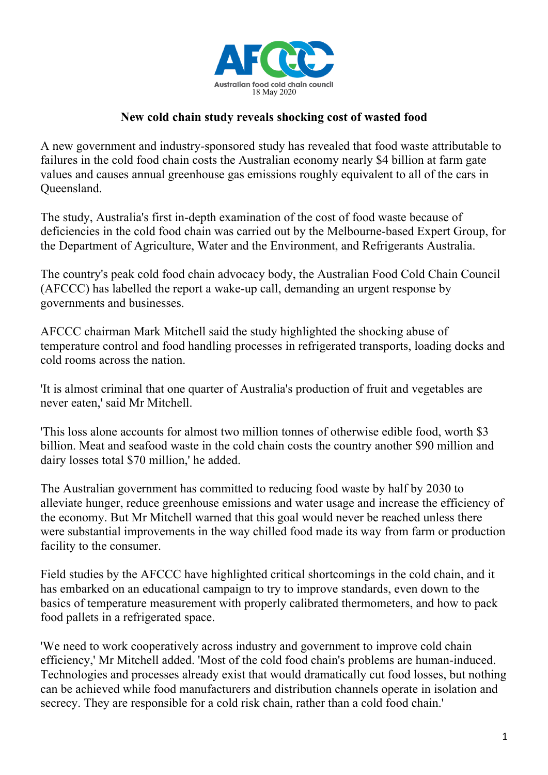

## **New cold chain study reveals shocking cost of wasted food**

A new government and industry-sponsored study has revealed that food waste attributable to failures in the cold food chain costs the Australian economy nearly \$4 billion at farm gate values and causes annual greenhouse gas emissions roughly equivalent to all of the cars in Queensland.

The study, Australia's first in-depth examination of the cost of food waste because of deficiencies in the cold food chain was carried out by the Melbourne-based Expert Group, for the Department of Agriculture, Water and the Environment, and Refrigerants Australia.

The country's peak cold food chain advocacy body, the Australian Food Cold Chain Council (AFCCC) has labelled the report a wake-up call, demanding an urgent response by governments and businesses.

AFCCC chairman Mark Mitchell said the study highlighted the shocking abuse of temperature control and food handling processes in refrigerated transports, loading docks and cold rooms across the nation.

'It is almost criminal that one quarter of Australia's production of fruit and vegetables are never eaten,' said Mr Mitchell.

'This loss alone accounts for almost two million tonnes of otherwise edible food, worth \$3 billion. Meat and seafood waste in the cold chain costs the country another \$90 million and dairy losses total \$70 million,' he added.

The Australian government has committed to reducing food waste by half by 2030 to alleviate hunger, reduce greenhouse emissions and water usage and increase the efficiency of the economy. But Mr Mitchell warned that this goal would never be reached unless there were substantial improvements in the way chilled food made its way from farm or production facility to the consumer.

Field studies by the AFCCC have highlighted critical shortcomings in the cold chain, and it has embarked on an educational campaign to try to improve standards, even down to the basics of temperature measurement with properly calibrated thermometers, and how to pack food pallets in a refrigerated space.

'We need to work cooperatively across industry and government to improve cold chain efficiency,' Mr Mitchell added. 'Most of the cold food chain's problems are human-induced. Technologies and processes already exist that would dramatically cut food losses, but nothing can be achieved while food manufacturers and distribution channels operate in isolation and secrecy. They are responsible for a cold risk chain, rather than a cold food chain.'